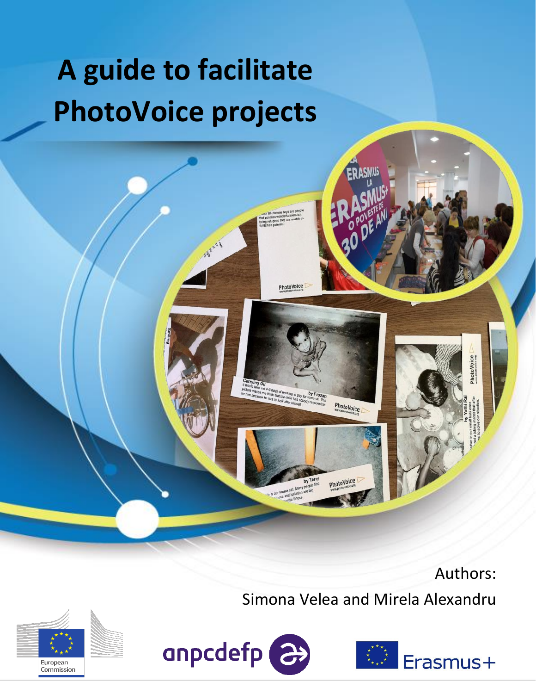# **A guide to facilitate PhotoVoice projects**

ASKART

PhotoVoice

4-5 days of working to pay for **by Frozan**<br>think that the child has not some of This<br>it has to look after this noticely meal. This

PhotoVoice

PhotoVoice



hotoVoice

Simona Velea and Mirela Alexandru





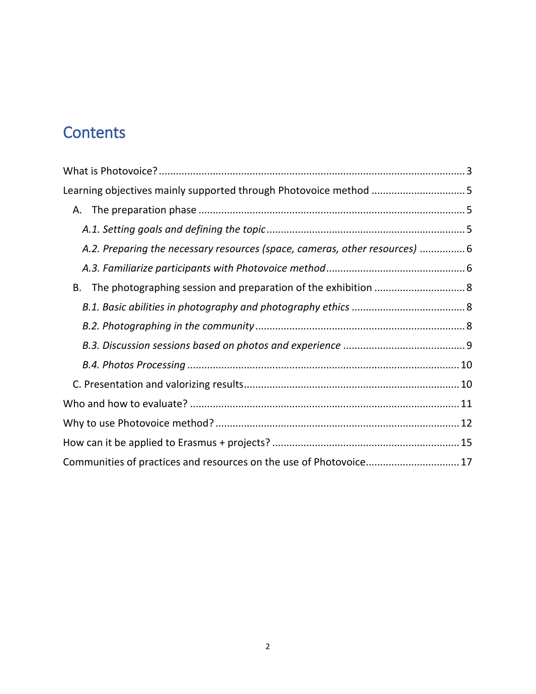## **Contents**

| Learning objectives mainly supported through Photovoice method 5            |  |
|-----------------------------------------------------------------------------|--|
|                                                                             |  |
|                                                                             |  |
| A.2. Preparing the necessary resources (space, cameras, other resources)  6 |  |
|                                                                             |  |
|                                                                             |  |
|                                                                             |  |
|                                                                             |  |
|                                                                             |  |
|                                                                             |  |
|                                                                             |  |
|                                                                             |  |
|                                                                             |  |
|                                                                             |  |
| Communities of practices and resources on the use of Photovoice 17          |  |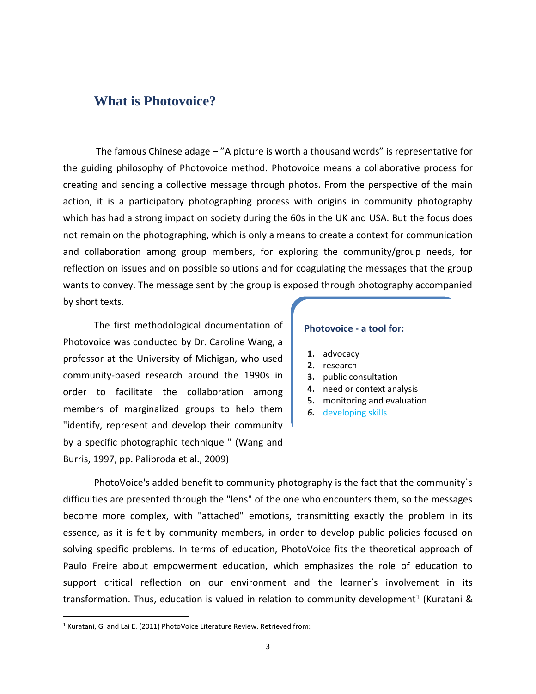### <span id="page-2-0"></span>**What is Photovoice?**

The famous Chinese adage – "A picture is worth a thousand words" is representative for the guiding philosophy of Photovoice method. Photovoice means a collaborative process for creating and sending a collective message through photos. From the perspective of the main action, it is a participatory photographing process with origins in community photography which has had a strong impact on society during the 60s in the UK and USA. But the focus does not remain on the photographing, which is only a means to create a context for communication and collaboration among group members, for exploring the community/group needs, for reflection on issues and on possible solutions and for coagulating the messages that the group wants to convey. The message sent by the group is exposed through photography accompanied by short texts.

The first methodological documentation of Photovoice was conducted by Dr. Caroline Wang, a professor at the University of Michigan, who used community-based research around the 1990s in order to facilitate the collaboration among members of marginalized groups to help them "identify, represent and develop their community by a specific photographic technique " (Wang and Burris, 1997, pp. Palibroda et al., 2009)

#### **Photovoice - a tool for:**

- **1.** advocacy
- **2.** research
- **3.** public consultation
- **4.** need or context analysis
- **5.** monitoring and evaluation
- *6.* developing skills

PhotoVoice's added benefit to community photography is the fact that the community`s difficulties are presented through the "lens" of the one who encounters them, so the messages become more complex, with "attached" emotions, transmitting exactly the problem in its essence, as it is felt by community members, in order to develop public policies focused on solving specific problems. In terms of education, PhotoVoice fits the theoretical approach of Paulo Freire about empowerment education, which emphasizes the role of education to support critical reflection on our environment and the learner's involvement in its transformation. Thus, education is valued in relation to community development<sup>1</sup> (Kuratani &

 $\overline{a}$ 

<sup>1</sup> Kuratani, G. and Lai E. (2011) PhotoVoice Literature Review. Retrieved from: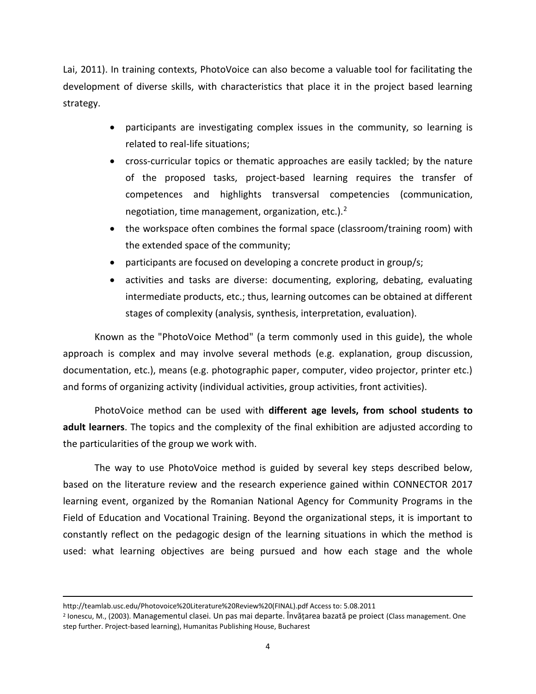Lai, 2011). In training contexts, PhotoVoice can also become a valuable tool for facilitating the development of diverse skills, with characteristics that place it in the project based learning strategy.

- participants are investigating complex issues in the community, so learning is related to real-life situations;
- cross-curricular topics or thematic approaches are easily tackled; by the nature of the proposed tasks, project-based learning requires the transfer of competences and highlights transversal competencies (communication, negotiation, time management, organization, etc.).<sup>2</sup>
- the workspace often combines the formal space (classroom/training room) with the extended space of the community;
- participants are focused on developing a concrete product in group/s;
- activities and tasks are diverse: documenting, exploring, debating, evaluating intermediate products, etc.; thus, learning outcomes can be obtained at different stages of complexity (analysis, synthesis, interpretation, evaluation).

Known as the "PhotoVoice Method" (a term commonly used in this guide), the whole approach is complex and may involve several methods (e.g. explanation, group discussion, documentation, etc.), means (e.g. photographic paper, computer, video projector, printer etc.) and forms of organizing activity (individual activities, group activities, front activities).

PhotoVoice method can be used with **different age levels, from school students to adult learners**. The topics and the complexity of the final exhibition are adjusted according to the particularities of the group we work with.

The way to use PhotoVoice method is guided by several key steps described below, based on the literature review and the research experience gained within CONNECTOR 2017 learning event, organized by the Romanian National Agency for Community Programs in the Field of Education and Vocational Training. Beyond the organizational steps, it is important to constantly reflect on the pedagogic design of the learning situations in which the method is used: what learning objectives are being pursued and how each stage and the whole

l

http://teamlab.usc.edu/Photovoice%20Literature%20Review%20(FINAL).pdf Access to: 5.08.2011

<sup>2</sup> Ionescu, M., (2003). Managementul clasei. Un pas mai departe. Învățarea bazată pe proiect (Class management. One step further. Project-based learning), Humanitas Publishing House, Bucharest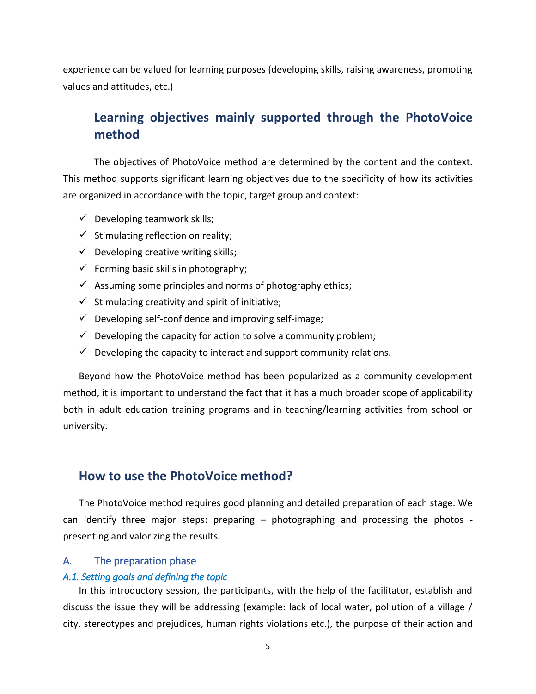experience can be valued for learning purposes (developing skills, raising awareness, promoting values and attitudes, etc.)

## <span id="page-4-0"></span>**Learning objectives mainly supported through the PhotoVoice method**

The objectives of PhotoVoice method are determined by the content and the context. This method supports significant learning objectives due to the specificity of how its activities are organized in accordance with the topic, target group and context:

- $\checkmark$  Developing teamwork skills;
- $\checkmark$  Stimulating reflection on reality;
- $\checkmark$  Developing creative writing skills;
- $\checkmark$  Forming basic skills in photography;
- $\checkmark$  Assuming some principles and norms of photography ethics;
- $\checkmark$  Stimulating creativity and spirit of initiative;
- $\checkmark$  Developing self-confidence and improving self-image;
- $\checkmark$  Developing the capacity for action to solve a community problem;
- $\checkmark$  Developing the capacity to interact and support community relations.

Beyond how the PhotoVoice method has been popularized as a community development method, it is important to understand the fact that it has a much broader scope of applicability both in adult education training programs and in teaching/learning activities from school or university.

#### **How to use the PhotoVoice method?**

The PhotoVoice method requires good planning and detailed preparation of each stage. We can identify three major steps: preparing – photographing and processing the photos presenting and valorizing the results.

#### <span id="page-4-1"></span>A. The preparation phase

#### <span id="page-4-2"></span>*A.1. Setting goals and defining the topic*

In this introductory session, the participants, with the help of the facilitator, establish and discuss the issue they will be addressing (example: lack of local water, pollution of a village / city, stereotypes and prejudices, human rights violations etc.), the purpose of their action and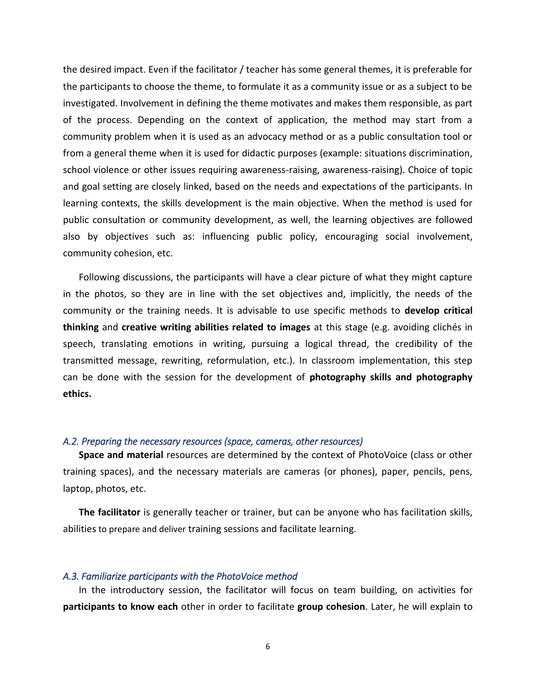the desired impact. Even if the facilitator / teacher has some general themes, it is preferable for the participants to choose the theme, to formulate it as a community issue or as a subject to be investigated. Involvement in defining the theme motivates and makes them responsible, as part of the process. Depending on the context of application, the method may start from a community problem when it is used as an advocacy method or as a public consultation tool or from a general theme when it is used for didactic purposes (example: situations discrimination, school violence or other issues requiring awareness-raising, awareness-raising). Choice of topic and goal setting are closely linked, based on the needs and expectations of the participants. In learning contexts, the skills development is the main objective. When the method is used for public consultation or community development, as well, the learning objectives are followed also by objectives such as: influencing public policy, encouraging social involvement, community cohesion, etc.

Following discussions, the participants will have a clear picture of what they might capture in the photos, so they are in line with the set objectives and, implicitly, the needs of the community or the training needs. It is advisable to use specific methods to **develop critical thinking** and **creative writing abilities related to images** at this stage (e.g. avoiding clichés in speech, translating emotions in writing, pursuing a logical thread, the credibility of the transmitted message, rewriting, reformulation, etc.). In classroom implementation, this step can be done with the session for the development of **photography skills and photography ethics.**

#### <span id="page-5-0"></span>*A.2. Preparing the necessary resources (space, cameras, other resources)*

**Space and material** resources are determined by the context of PhotoVoice (class or other training spaces), and the necessary materials are cameras (or phones), paper, pencils, pens, laptop, photos, etc.

**The facilitator** is generally teacher or trainer, but can be anyone who has facilitation skills, abilities to prepare and deliver training sessions and facilitate learning.

#### <span id="page-5-1"></span>*A.3. Familiarize participants with the PhotoVoice method*

In the introductory session, the facilitator will focus on team building, on activities for **participants to know each** other in order to facilitate **group cohesion**. Later, he will explain to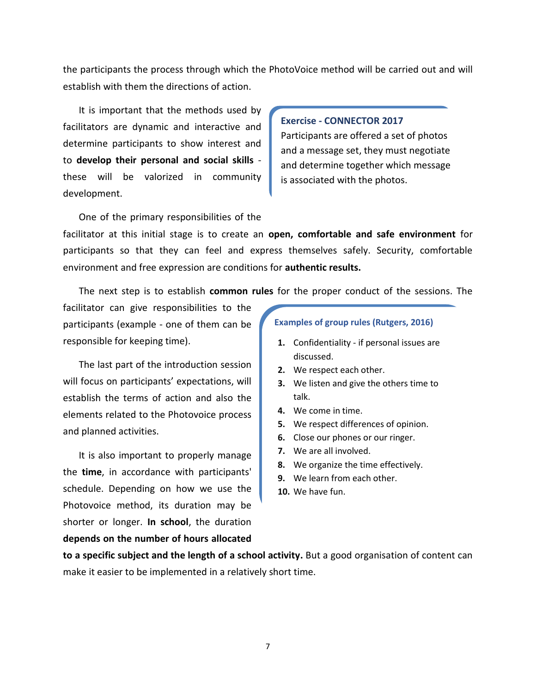the participants the process through which the PhotoVoice method will be carried out and will establish with them the directions of action.

It is important that the methods used by facilitators are dynamic and interactive and determine participants to show interest and to **develop their personal and social skills** these will be valorized in community development.

#### **Exercise - CONNECTOR 2017**

Participants are offered a set of photos and a message set, they must negotiate and determine together which message is associated with the photos.

One of the primary responsibilities of the

facilitator at this initial stage is to create an **open, comfortable and safe environment** for participants so that they can feel and express themselves safely. Security, comfortable environment and free expression are conditions for **authentic results.**

The next step is to establish **common rules** for the proper conduct of the sessions. The

facilitator can give responsibilities to the participants (example - one of them can be responsible for keeping time).

The last part of the introduction session will focus on participants' expectations, will establish the terms of action and also the elements related to the Photovoice process and planned activities.

It is also important to properly manage the **time**, in accordance with participants' schedule. Depending on how we use the Photovoice method, its duration may be shorter or longer. **In school**, the duration **depends on the number of hours allocated** 

#### **Examples of group rules (Rutgers, 2016)**

- **1.** Confidentiality if personal issues are discussed.
- **2.** We respect each other.
- **3.** We listen and give the others time to talk.
- **4.** We come in time.
- **5.** We respect differences of opinion.
- **6.** Close our phones or our ringer.
- **7.** We are all involved.
- **8.** We organize the time effectively.
- **9.** We learn from each other.
- **10.** We have fun.

**to a specific subject and the length of a school activity.** But a good organisation of content can make it easier to be implemented in a relatively short time.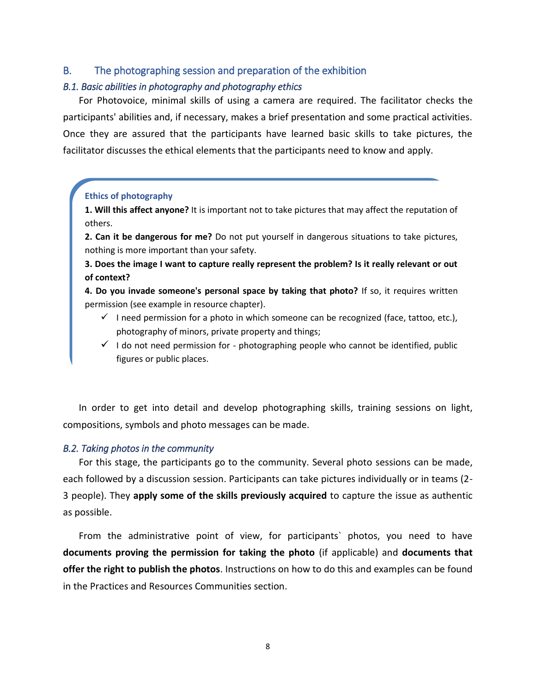#### <span id="page-7-0"></span>B. The photographing session and preparation of the exhibition

#### <span id="page-7-1"></span>*B.1. Basic abilities in photography and photography ethics*

For Photovoice, minimal skills of using a camera are required. The facilitator checks the participants' abilities and, if necessary, makes a brief presentation and some practical activities. Once they are assured that the participants have learned basic skills to take pictures, the facilitator discusses the ethical elements that the participants need to know and apply.

#### **Ethics of photography**

**1. Will this affect anyone?** It is important not to take pictures that may affect the reputation of others.

**2. Can it be dangerous for me?** Do not put yourself in dangerous situations to take pictures, nothing is more important than your safety.

**3. Does the image I want to capture really represent the problem? Is it really relevant or out of context?**

**4. Do you invade someone's personal space by taking that photo?** If so, it requires written permission (see example in resource chapter).

- $\checkmark$  I need permission for a photo in which someone can be recognized (face, tattoo, etc.), photography of minors, private property and things;
- $\checkmark$  I do not need permission for photographing people who cannot be identified, public figures or public places.

In order to get into detail and develop photographing skills, training sessions on light, compositions, symbols and photo messages can be made.

#### <span id="page-7-2"></span>*B.2. Taking photos in the community*

For this stage, the participants go to the community. Several photo sessions can be made, each followed by a discussion session. Participants can take pictures individually or in teams (2- 3 people). They **apply some of the skills previously acquired** to capture the issue as authentic as possible.

From the administrative point of view, for participants` photos, you need to have **documents proving the permission for taking the photo** (if applicable) and **documents that offer the right to publish the photos**. Instructions on how to do this and examples can be found in the Practices and Resources Communities section.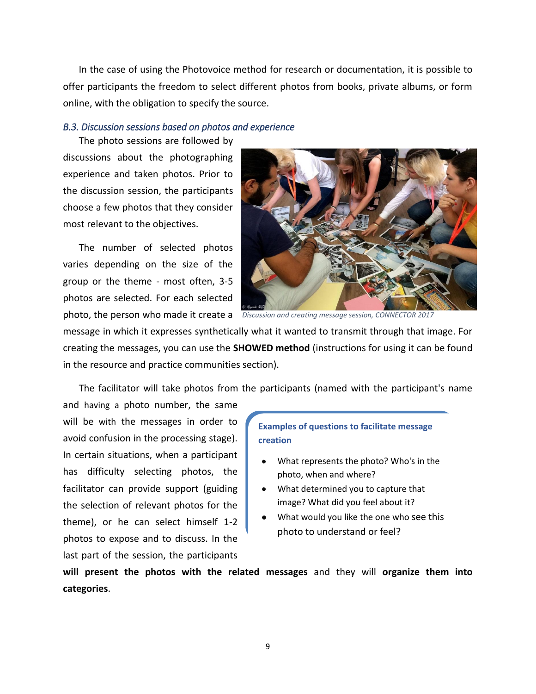In the case of using the Photovoice method for research or documentation, it is possible to offer participants the freedom to select different photos from books, private albums, or form online, with the obligation to specify the source.

#### <span id="page-8-0"></span>*B.3. Discussion sessions based on photos and experience*

The photo sessions are followed by

discussions about the photographing experience and taken photos. Prior to the discussion session, the participants choose a few photos that they consider most relevant to the objectives.

The number of selected photos varies depending on the size of the group or the theme - most often, 3-5 photos are selected. For each selected



photo, the person who made it create a *Discussion and creating message session, CONNECTOR 2017*

message in which it expresses synthetically what it wanted to transmit through that image. For creating the messages, you can use the **SHOWED method** (instructions for using it can be found in the resource and practice communities section).

The facilitator will take photos from the participants (named with the participant's name

and having a photo number, the same will be with the messages in order to avoid confusion in the processing stage). In certain situations, when a participant has difficulty selecting photos, the facilitator can provide support (guiding the selection of relevant photos for the theme), or he can select himself 1-2 photos to expose and to discuss. In the last part of the session, the participants

#### **Examples of questions to facilitate message creation**

- What represents the photo? Who's in the photo, when and where?
- What determined you to capture that image? What did you feel about it?
- What would you like the one who see this photo to understand or feel?

**will present the photos with the related messages** and they will **organize them into categories**.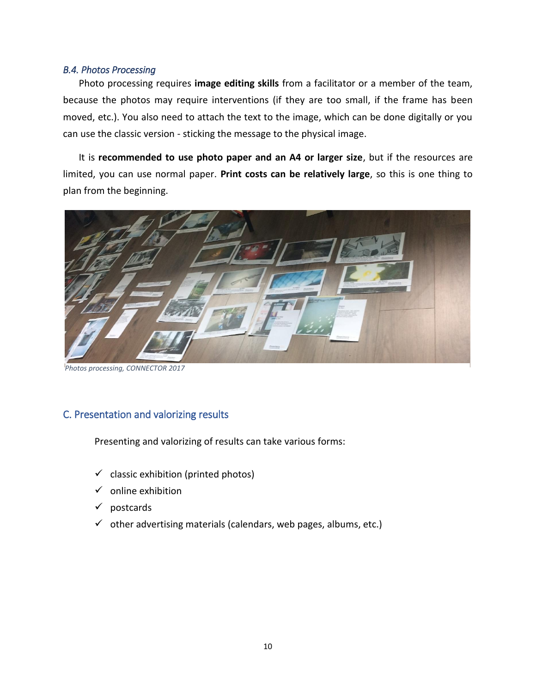#### <span id="page-9-0"></span>*B.4. Photos Processing*

Photo processing requires **image editing skills** from a facilitator or a member of the team, because the photos may require interventions (if they are too small, if the frame has been moved, etc.). You also need to attach the text to the image, which can be done digitally or you can use the classic version - sticking the message to the physical image.

It is **recommended to use photo paper and an A4 or larger size**, but if the resources are limited, you can use normal paper. **Print costs can be relatively large**, so this is one thing to plan from the beginning.



*Photos processing, CONNECTOR 2017*

#### <span id="page-9-1"></span>C. Presentation and valorizing results

Presenting and valorizing of results can take various forms:

- $\checkmark$  classic exhibition (printed photos)
- $\checkmark$  online exhibition
- ✓ postcards
- $\checkmark$  other advertising materials (calendars, web pages, albums, etc.)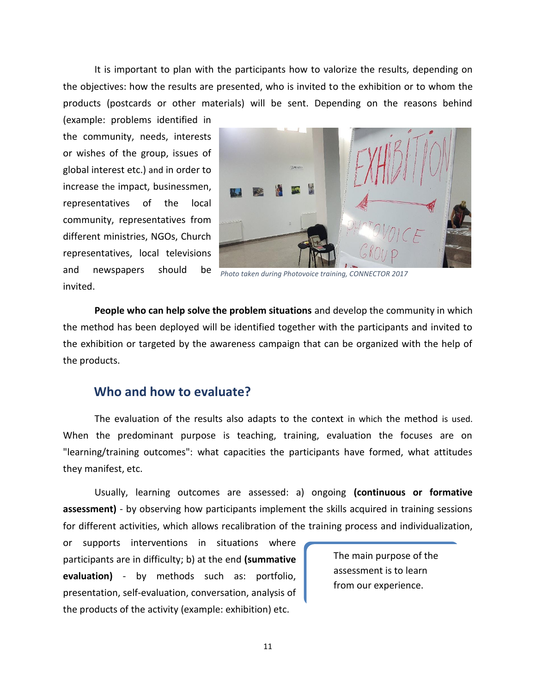It is important to plan with the participants how to valorize the results, depending on the objectives: how the results are presented, who is invited to the exhibition or to whom the products (postcards or other materials) will be sent. Depending on the reasons behind

(example: problems identified in the community, needs, interests or wishes of the group, issues of global interest etc.) and in order to increase the impact, businessmen, representatives of the local community, representatives from different ministries, NGOs, Church representatives, local televisions and newspapers should invited.



*Photo taken during Photovoice training, CONNECTOR 2017*

**People who can help solve the problem situations** and develop the community in which the method has been deployed will be identified together with the participants and invited to the exhibition or targeted by the awareness campaign that can be organized with the help of the products.

## <span id="page-10-0"></span>**Who and how to evaluate?**

The evaluation of the results also adapts to the context in which the method is used. When the predominant purpose is teaching, training, evaluation the focuses are on "learning/training outcomes": what capacities the participants have formed, what attitudes they manifest, etc.

Usually, learning outcomes are assessed: a) ongoing **(continuous or formative assessment)** - by observing how participants implement the skills acquired in training sessions for different activities, which allows recalibration of the training process and individualization,

or supports interventions in situations where participants are in difficulty; b) at the end **(summative evaluation)** - by methods such as: portfolio, presentation, self-evaluation, conversation, analysis of the products of the activity (example: exhibition) etc.

The main purpose of the assessment is to learn from our experience.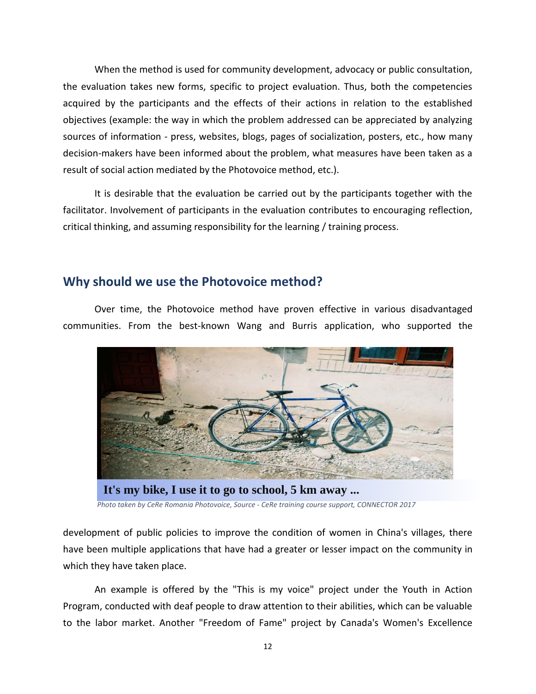When the method is used for community development, advocacy or public consultation, the evaluation takes new forms, specific to project evaluation. Thus, both the competencies acquired by the participants and the effects of their actions in relation to the established objectives (example: the way in which the problem addressed can be appreciated by analyzing sources of information - press, websites, blogs, pages of socialization, posters, etc., how many decision-makers have been informed about the problem, what measures have been taken as a result of social action mediated by the Photovoice method, etc.).

It is desirable that the evaluation be carried out by the participants together with the facilitator. Involvement of participants in the evaluation contributes to encouraging reflection, critical thinking, and assuming responsibility for the learning / training process.

## <span id="page-11-0"></span>**Why should we use the Photovoice method?**

Over time, the Photovoice method have proven effective in various disadvantaged communities. From the best-known Wang and Burris application, who supported the



*Photo taken by CeRe Romania Photovoice, Source - CeRe training course support, CONNECTOR 2017* **It's my bike, I use it to go to school, 5 km away ...**

development of public policies to improve the condition of women in China's villages, there have been multiple applications that have had a greater or lesser impact on the community in which they have taken place.

An example is offered by the "This is my voice" project under the Youth in Action Program, conducted with deaf people to draw attention to their abilities, which can be valuable to the labor market. Another "Freedom of Fame" project by Canada's Women's Excellence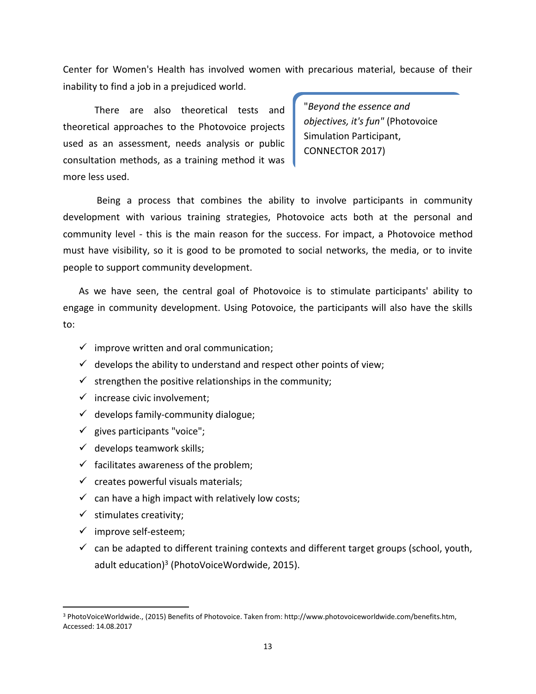Center for Women's Health has involved women with precarious material, because of their inability to find a job in a prejudiced world.

There are also theoretical tests and theoretical approaches to the Photovoice projects used as an assessment, needs analysis or public consultation methods, as a training method it was more less used.

"*Beyond the essence and objectives, it's fun"* (Photovoice Simulation Participant, CONNECTOR 2017)

Being a process that combines the ability to involve participants in community development with various training strategies, Photovoice acts both at the personal and community level - this is the main reason for the success. For impact, a Photovoice method must have visibility, so it is good to be promoted to social networks, the media, or to invite people to support community development.

As we have seen, the central goal of Photovoice is to stimulate participants' ability to engage in community development. Using Potovoice, the participants will also have the skills to:

- $\checkmark$  improve written and oral communication;
- $\checkmark$  develops the ability to understand and respect other points of view;
- $\checkmark$  strengthen the positive relationships in the community;
- $\checkmark$  increase civic involvement;
- $\checkmark$  develops family-community dialogue;
- $\checkmark$  gives participants "voice";
- $\checkmark$  develops teamwork skills;
- $\checkmark$  facilitates awareness of the problem;
- $\checkmark$  creates powerful visuals materials;
- $\checkmark$  can have a high impact with relatively low costs;
- $\checkmark$  stimulates creativity;
- ✓ improve self-esteem;

 $\overline{a}$ 

 $\checkmark$  can be adapted to different training contexts and different target groups (school, youth, adult education)<sup>3</sup> (PhotoVoiceWordwide, 2015).

<sup>3</sup> PhotoVoiceWorldwide., (2015) Benefits of Photovoice. Taken from: http://www.photovoiceworldwide.com/benefits.htm, Accessed: 14.08.2017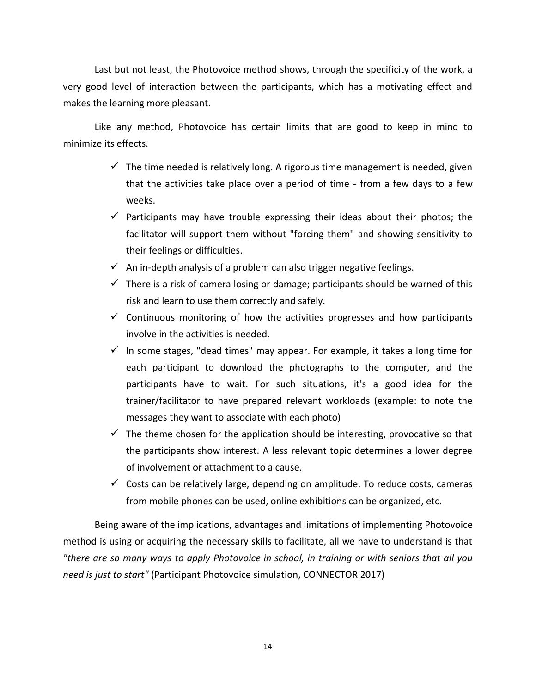Last but not least, the Photovoice method shows, through the specificity of the work, a very good level of interaction between the participants, which has a motivating effect and makes the learning more pleasant.

Like any method, Photovoice has certain limits that are good to keep in mind to minimize its effects.

- $\checkmark$  The time needed is relatively long. A rigorous time management is needed, given that the activities take place over a period of time - from a few days to a few weeks.
- $\checkmark$  Participants may have trouble expressing their ideas about their photos; the facilitator will support them without "forcing them" and showing sensitivity to their feelings or difficulties.
- $\checkmark$  An in-depth analysis of a problem can also trigger negative feelings.
- $\checkmark$  There is a risk of camera losing or damage; participants should be warned of this risk and learn to use them correctly and safely.
- $\checkmark$  Continuous monitoring of how the activities progresses and how participants involve in the activities is needed.
- $\checkmark$  In some stages, "dead times" may appear. For example, it takes a long time for each participant to download the photographs to the computer, and the participants have to wait. For such situations, it's a good idea for the trainer/facilitator to have prepared relevant workloads (example: to note the messages they want to associate with each photo)
- $\checkmark$  The theme chosen for the application should be interesting, provocative so that the participants show interest. A less relevant topic determines a lower degree of involvement or attachment to a cause.
- $\checkmark$  Costs can be relatively large, depending on amplitude. To reduce costs, cameras from mobile phones can be used, online exhibitions can be organized, etc.

Being aware of the implications, advantages and limitations of implementing Photovoice method is using or acquiring the necessary skills to facilitate, all we have to understand is that *"there are so many ways to apply Photovoice in school, in training or with seniors that all you need is just to start"* (Participant Photovoice simulation, CONNECTOR 2017)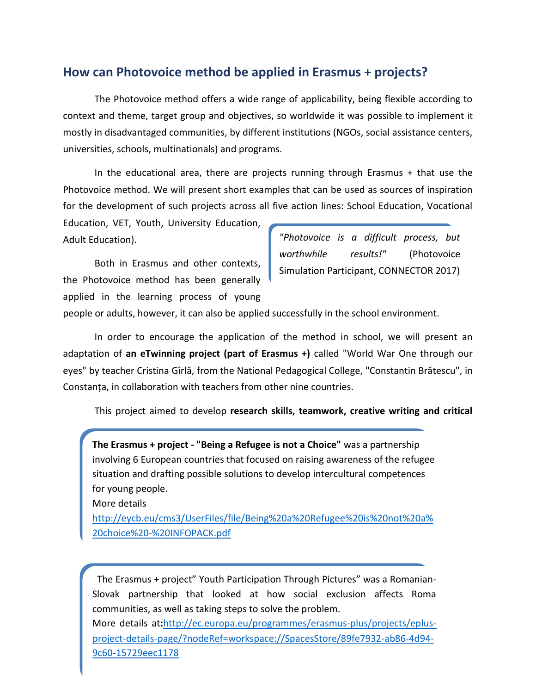## <span id="page-14-0"></span>**How can Photovoice method be applied in Erasmus + projects?**

The Photovoice method offers a wide range of applicability, being flexible according to context and theme, target group and objectives, so worldwide it was possible to implement it mostly in disadvantaged communities, by different institutions (NGOs, social assistance centers, universities, schools, multinationals) and programs.

In the educational area, there are projects running through Erasmus + that use the Photovoice method. We will present short examples that can be used as sources of inspiration for the development of such projects across all five action lines: School Education, Vocational

Education, VET, Youth, University Education, Adult Education).

Both in Erasmus and other contexts, the Photovoice method has been generally applied in the learning process of young

*"Photovoice is a difficult process, but worthwhile results!"* (Photovoice Simulation Participant, CONNECTOR 2017)

people or adults, however, it can also be applied successfully in the school environment.

In order to encourage the application of the method in school, we will present an adaptation of **an eTwinning project (part of Erasmus +)** called "World War One through our eyes" by teacher Cristina Gîrlă, from the National Pedagogical College, "Constantin Brătescu", in Constanța, in collaboration with teachers from other nine countries.

This project aimed to develop **research skills, teamwork, creative writing and critical** 

**The Erasmus + project - "Being a Refugee is not a Choice"** was a partnership involving 6 European countries that focused on raising awareness of the refugee situation and drafting possible solutions to develop intercultural competences for young people.

More details

[http://eycb.eu/cms3/UserFiles/file/Being%20a%20Refugee%20is%20not%20a%](http://eycb.eu/cms3/UserFiles/file/Being%20a%20Refugee%20is%20not%20a%20choice%20-%20INFOPACK.pdf) [20choice%20-%20INFOPACK.pdf](http://eycb.eu/cms3/UserFiles/file/Being%20a%20Refugee%20is%20not%20a%20choice%20-%20INFOPACK.pdf)

 The Erasmus + project" Youth Participation Through Pictures" was a Romanian-Slovak partnership that looked at how social exclusion affects Roma communities, as well as taking steps to solve the problem. More details at**:**[http://ec.europa.eu/programmes/erasmus-plus/projects/eplus](http://ec.europa.eu/programmes/erasmus-plus/projects/eplus-project-details-page/?nodeRef=workspace://SpacesStore/89fe7932-ab86-4d94-9c60-15729eec1178)[project-details-page/?nodeRef=workspace://SpacesStore/89fe7932-ab86-4d94-](http://ec.europa.eu/programmes/erasmus-plus/projects/eplus-project-details-page/?nodeRef=workspace://SpacesStore/89fe7932-ab86-4d94-9c60-15729eec1178)

15

[9c60-15729eec1178](http://ec.europa.eu/programmes/erasmus-plus/projects/eplus-project-details-page/?nodeRef=workspace://SpacesStore/89fe7932-ab86-4d94-9c60-15729eec1178)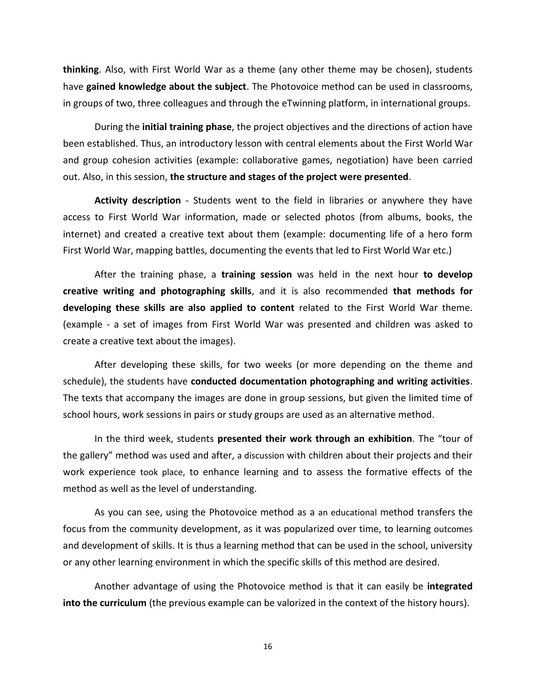**thinking**. Also, with First World War as a theme (any other theme may be chosen), students have **gained knowledge about the subject**. The Photovoice method can be used in classrooms, in groups of two, three colleagues and through the eTwinning platform, in international groups.

During the **initial training phase**, the project objectives and the directions of action have been established. Thus, an introductory lesson with central elements about the First World War and group cohesion activities (example: collaborative games, negotiation) have been carried out. Also, in this session, **the structure and stages of the project were presented**.

**Activity description** - Students went to the field in libraries or anywhere they have access to First World War information, made or selected photos (from albums, books, the internet) and created a creative text about them (example: documenting life of a hero form First World War, mapping battles, documenting the events that led to First World War etc.)

After the training phase, a **training session** was held in the next hour **to develop creative writing and photographing skills**, and it is also recommended **that methods for developing these skills are also applied to content** related to the First World War theme. (example - a set of images from First World War was presented and children was asked to create a creative text about the images).

After developing these skills, for two weeks (or more depending on the theme and schedule), the students have **conducted documentation photographing and writing activities**. The texts that accompany the images are done in group sessions, but given the limited time of school hours, work sessions in pairs or study groups are used as an alternative method.

In the third week, students **presented their work through an exhibition**. The "tour of the gallery" method was used and after, a discussion with children about their projects and their work experience took place, to enhance learning and to assess the formative effects of the method as well as the level of understanding.

As you can see, using the Photovoice method as a an educational method transfers the focus from the community development, as it was popularized over time, to learning outcomes and development of skills. It is thus a learning method that can be used in the school, university or any other learning environment in which the specific skills of this method are desired.

Another advantage of using the Photovoice method is that it can easily be **integrated into the curriculum** (the previous example can be valorized in the context of the history hours).

16